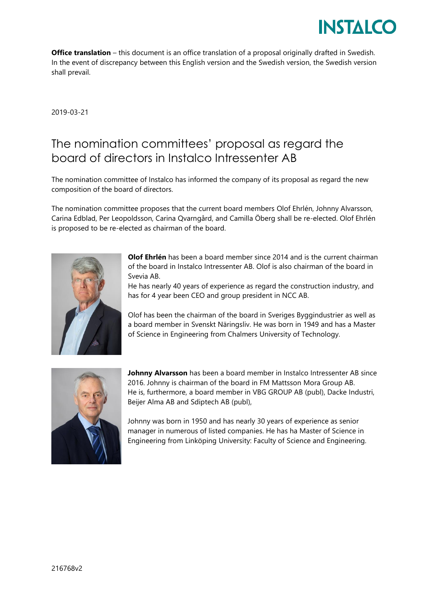

**Office translation** – this document is an office translation of a proposal originally drafted in Swedish. In the event of discrepancy between this English version and the Swedish version, the Swedish version shall prevail.

2019-03-21

## The nomination committees' proposal as regard the board of directors in Instalco Intressenter AB

The nomination committee of Instalco has informed the company of its proposal as regard the new composition of the board of directors.

The nomination committee proposes that the current board members Olof Ehrlén, Johnny Alvarsson, Carina Edblad, Per Leopoldsson, Carina Qvarngård, and Camilla Öberg shall be re-elected. Olof Ehrlén is proposed to be re-elected as chairman of the board.



**Olof Ehrlén** has been a board member since 2014 and is the current chairman of the board in Instalco Intressenter AB. Olof is also chairman of the board in Svevia AB.

He has nearly 40 years of experience as regard the construction industry, and has for 4 year been CEO and group president in NCC AB.

Olof has been the chairman of the board in Sveriges Byggindustrier as well as a board member in Svenskt Näringsliv. He was born in 1949 and has a Master of Science in Engineering from Chalmers University of Technology.



**Johnny Alvarsson** has been a board member in Instalco Intressenter AB since 2016. Johnny is chairman of the board in FM Mattsson Mora Group AB. He is, furthermore, a board member in VBG GROUP AB (publ), Dacke Industri, Beijer Alma AB and Sdiptech AB (publ),

Johnny was born in 1950 and has nearly 30 years of experience as senior manager in numerous of listed companies. He has ha Master of Science in Engineering from Linköping University: Faculty of Science and Engineering.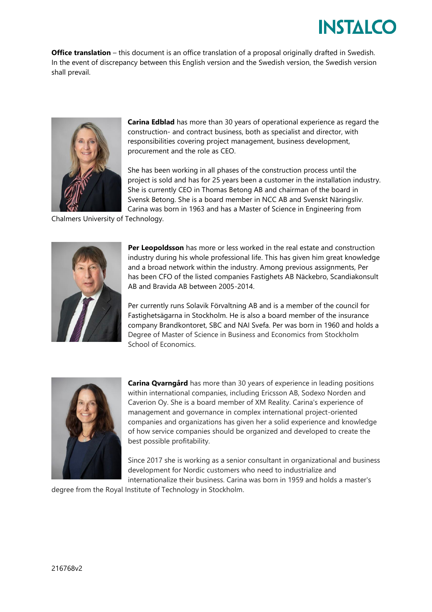## **INSTAICO**

**Office translation** – this document is an office translation of a proposal originally drafted in Swedish. In the event of discrepancy between this English version and the Swedish version, the Swedish version shall prevail.



**Carina Edblad** has more than 30 years of operational experience as regard the construction- and contract business, both as specialist and director, with responsibilities covering project management, business development, procurement and the role as CEO.

She has been working in all phases of the construction process until the project is sold and has for 25 years been a customer in the installation industry. She is currently CEO in Thomas Betong AB and chairman of the board in Svensk Betong. She is a board member in NCC AB and Svenskt Näringsliv. Carina was born in 1963 and has a Master of Science in Engineering from

Chalmers University of Technology.



**Per Leopoldsson** has more or less worked in the real estate and construction industry during his whole professional life. This has given him great knowledge and a broad network within the industry. Among previous assignments, Per has been CFO of the listed companies Fastighets AB Näckebro, Scandiakonsult AB and Bravida AB between 2005-2014.

Per currently runs Solavik Förvaltning AB and is a member of the council for Fastighetsägarna in Stockholm. He is also a board member of the insurance company Brandkontoret, SBC and NAI Svefa. Per was born in 1960 and holds a Degree of Master of Science in Business and Economics from Stockholm School of Economics.



**Carina Qvarngård** has more than 30 years of experience in leading positions within international companies, including Ericsson AB, Sodexo Norden and Caverion Oy. She is a board member of XM Reality. Carina's experience of management and governance in complex international project-oriented companies and organizations has given her a solid experience and knowledge of how service companies should be organized and developed to create the best possible profitability.

Since 2017 she is working as a senior consultant in organizational and business development for Nordic customers who need to industrialize and internationalize their business. Carina was born in 1959 and holds a master's

degree from the Royal Institute of Technology in Stockholm.